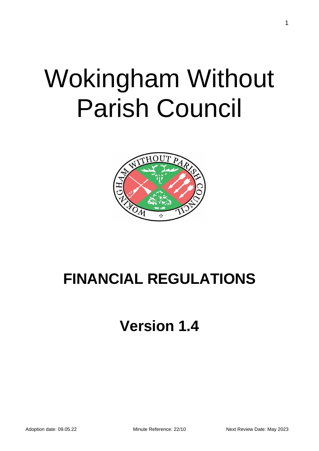# Wokingham Without Parish Council



# **FINANCIAL REGULATIONS**

# **Version 1.4**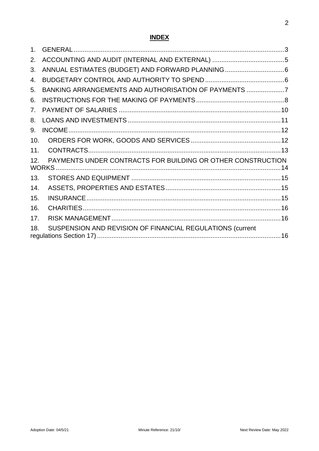# **INDEX**

| 1.              |                                                             |  |
|-----------------|-------------------------------------------------------------|--|
| 2.              |                                                             |  |
| 3.              |                                                             |  |
| 4.              |                                                             |  |
| 5.              | BANKING ARRANGEMENTS AND AUTHORISATION OF PAYMENTS 7        |  |
| 6.              |                                                             |  |
| 7 <sub>1</sub>  |                                                             |  |
| 8.              |                                                             |  |
| 9.              |                                                             |  |
| 10.             |                                                             |  |
| 11.             |                                                             |  |
| 12.             | PAYMENTS UNDER CONTRACTS FOR BUILDING OR OTHER CONSTRUCTION |  |
| 13.             |                                                             |  |
| 14.             |                                                             |  |
| 15.             |                                                             |  |
| 16.             |                                                             |  |
| 17 <sub>1</sub> |                                                             |  |
| 18.             | SUSPENSION AND REVISION OF FINANCIAL REGULATIONS (current   |  |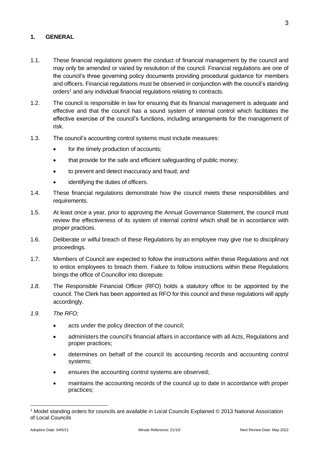#### <span id="page-2-0"></span>**1. GENERAL**

- 1.1. These financial regulations govern the conduct of financial management by the council and may only be amended or varied by resolution of the council. Financial regulations are one of the council's three governing policy documents providing procedural guidance for members and officers. Financial regulations must be observed in conjunction with the council's standing orders<sup>1</sup> and any individual financial regulations relating to contracts.
- 1.2. The council is responsible in law for ensuring that its financial management is adequate and effective and that the council has a sound system of internal control which facilitates the effective exercise of the council's functions, including arrangements for the management of risk.
- 1.3. The council's accounting control systems must include measures:
	- for the timely production of accounts;
	- that provide for the safe and efficient safeguarding of public money;
	- to prevent and detect inaccuracy and fraud; and
	- identifying the duties of officers.
- 1.4. These financial regulations demonstrate how the council meets these responsibilities and requirements.
- 1.5. At least once a year, prior to approving the Annual Governance Statement, the council must review the effectiveness of its system of internal control which shall be in accordance with proper practices.
- 1.6. Deliberate or wilful breach of these Regulations by an employee may give rise to disciplinary proceedings.
- 1.7. Members of Council are expected to follow the instructions within these Regulations and not to entice employees to breach them. Failure to follow instructions within these Regulations brings the office of Councillor into disrepute.
- *1.8.* The Responsible Financial Officer (RFO) holds a statutory office to be appointed by the council. The Clerk has been appointed as RFO for this council and these regulations will apply accordingly.
- *1.9. The RFO;*
	- acts under the policy direction of the council;
	- administers the council's financial affairs in accordance with all Acts, Regulations and proper practices;
	- determines on behalf of the council its accounting records and accounting control systems;
	- ensures the accounting control systems are observed;
	- maintains the accounting records of the council up to date in accordance with proper practices;

<sup>1</sup> Model standing orders for councils are available in Local Councils Explained © 2013 National Association of Local Councils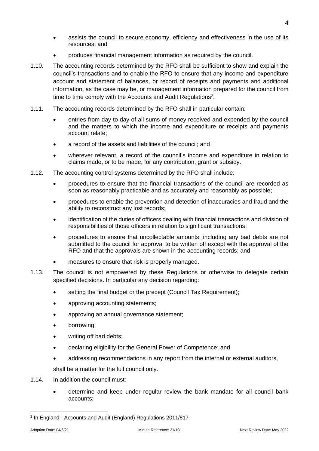- assists the council to secure economy, efficiency and effectiveness in the use of its resources; and
- produces financial management information as required by the council.
- 1.10. The accounting records determined by the RFO shall be sufficient to show and explain the council's transactions and to enable the RFO to ensure that any income and expenditure account and statement of balances, or record of receipts and payments and additional information, as the case may be, or management information prepared for the council from time to time comply with the Accounts and Audit Regulations<sup>2</sup>.
- 1.11. The accounting records determined by the RFO shall in particular contain:
	- entries from day to day of all sums of money received and expended by the council and the matters to which the income and expenditure or receipts and payments account relate;
	- a record of the assets and liabilities of the council; and
	- wherever relevant, a record of the council's income and expenditure in relation to claims made, or to be made, for any contribution, grant or subsidy.
- 1.12. The accounting control systems determined by the RFO shall include:
	- procedures to ensure that the financial transactions of the council are recorded as soon as reasonably practicable and as accurately and reasonably as possible;
	- procedures to enable the prevention and detection of inaccuracies and fraud and the ability to reconstruct any lost records;
	- identification of the duties of officers dealing with financial transactions and division of responsibilities of those officers in relation to significant transactions;
	- procedures to ensure that uncollectable amounts, including any bad debts are not submitted to the council for approval to be written off except with the approval of the RFO and that the approvals are shown in the accounting records; and
	- measures to ensure that risk is properly managed.
- 1.13. The council is not empowered by these Regulations or otherwise to delegate certain specified decisions. In particular any decision regarding:
	- setting the final budget or the precept (Council Tax Requirement);
	- approving accounting statements;
	- approving an annual governance statement;
	- borrowing;
	- writing off bad debts;
	- declaring eligibility for the General Power of Competence; and
	- addressing recommendations in any report from the internal or external auditors,

shall be a matter for the full council only.

- 1.14. In addition the council must:
	- determine and keep under regular review the bank mandate for all council bank accounts;

<sup>2</sup> In England - Accounts and Audit (England) Regulations 2011/817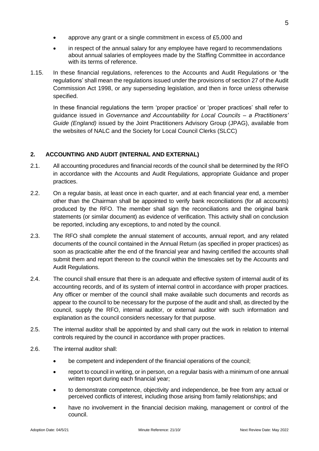- approve any grant or a single commitment in excess of £5,000 and
- in respect of the annual salary for any employee have regard to recommendations about annual salaries of employees made by the Staffing Committee in accordance with its terms of reference.
- 1.15. In these financial regulations, references to the Accounts and Audit Regulations or 'the regulations' shall mean the regulations issued under the provisions of section 27 of the Audit Commission Act 1998, or any superseding legislation, and then in force unless otherwise specified.

In these financial regulations the term 'proper practice' or 'proper practices' shall refer to guidance issued in *Governance and Accountability for Local Councils – a Practitioners' Guide (England)* issued by the Joint Practitioners Advisory Group (JPAG), available from the websites of NALC and the Society for Local Council Clerks (SLCC)

#### <span id="page-4-0"></span>**2. ACCOUNTING AND AUDIT (INTERNAL AND EXTERNAL)**

- 2.1. All accounting procedures and financial records of the council shall be determined by the RFO in accordance with the Accounts and Audit Regulations, appropriate Guidance and proper practices.
- 2.2. On a regular basis, at least once in each quarter, and at each financial year end, a member other than the Chairman shall be appointed to verify bank reconciliations (for all accounts) produced by the RFO. The member shall sign the reconciliations and the original bank statements (or similar document) as evidence of verification. This activity shall on conclusion be reported, including any exceptions, to and noted by the council.
- 2.3. The RFO shall complete the annual statement of accounts, annual report, and any related documents of the council contained in the Annual Return (as specified in proper practices) as soon as practicable after the end of the financial year and having certified the accounts shall submit them and report thereon to the council within the timescales set by the Accounts and Audit Regulations.
- 2.4. The council shall ensure that there is an adequate and effective system of internal audit of its accounting records, and of its system of internal control in accordance with proper practices. Any officer or member of the council shall make available such documents and records as appear to the council to be necessary for the purpose of the audit and shall, as directed by the council, supply the RFO, internal auditor, or external auditor with such information and explanation as the council considers necessary for that purpose.
- 2.5. The internal auditor shall be appointed by and shall carry out the work in relation to internal controls required by the council in accordance with proper practices.
- 2.6. The internal auditor shall:
	- be competent and independent of the financial operations of the council;
	- report to council in writing, or in person, on a regular basis with a minimum of one annual written report during each financial year:
	- to demonstrate competence, objectivity and independence, be free from any actual or perceived conflicts of interest, including those arising from family relationships; and
	- have no involvement in the financial decision making, management or control of the council.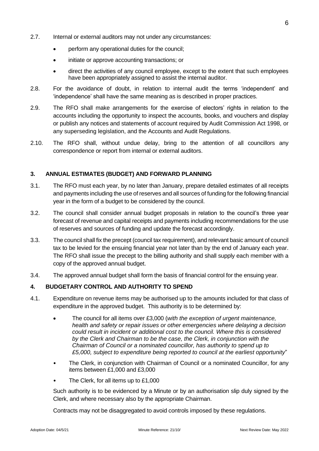- 2.7. Internal or external auditors may not under any circumstances:
	- perform any operational duties for the council;
	- initiate or approve accounting transactions; or
	- direct the activities of any council employee, except to the extent that such employees have been appropriately assigned to assist the internal auditor.
- 2.8. For the avoidance of doubt, in relation to internal audit the terms 'independent' and 'independence' shall have the same meaning as is described in proper practices.
- 2.9. The RFO shall make arrangements for the exercise of electors' rights in relation to the accounts including the opportunity to inspect the accounts, books, and vouchers and display or publish any notices and statements of account required by Audit Commission Act 1998, or any superseding legislation, and the Accounts and Audit Regulations.
- 2.10. The RFO shall, without undue delay, bring to the attention of all councillors any correspondence or report from internal or external auditors.

#### <span id="page-5-0"></span>**3. ANNUAL ESTIMATES (BUDGET) AND FORWARD PLANNING**

- 3.1. The RFO must each year, by no later than January, prepare detailed estimates of all receipts and payments including the use of reserves and all sources of funding for the following financial year in the form of a budget to be considered by the council.
- 3.2. The council shall consider annual budget proposals in relation to the council's three year forecast of revenue and capital receipts and payments including recommendations for the use of reserves and sources of funding and update the forecast accordingly.
- 3.3. The council shall fix the precept (council tax requirement), and relevant basic amount of council tax to be levied for the ensuing financial year not later than by the end of January each year. The RFO shall issue the precept to the billing authority and shall supply each member with a copy of the approved annual budget.
- 3.4. The approved annual budget shall form the basis of financial control for the ensuing year.

#### <span id="page-5-1"></span>**4. BUDGETARY CONTROL AND AUTHORITY TO SPEND**

- 4.1. Expenditure on revenue items may be authorised up to the amounts included for that class of expenditure in the approved budget. This authority is to be determined by:
	- The council for all items over £3,000 (*with the exception of urgent maintenance, health and safety or repair issues or other emergencies where delaying a decision could result in incident or additional cost to the council. Where this is considered by the Clerk and Chairman to be the case, the Clerk, in conjunction with the Chairman of Council or a nominated councillor, has authority to spend up to £5,000, subject to expenditure being reported to council at the earliest opportunity*"
	- The Clerk, in conjunction with Chairman of Council or a nominated Councillor, for any items between £1,000 and £3,000
	- The Clerk, for all items up to £1,000

Such authority is to be evidenced by a Minute or by an authorisation slip duly signed by the Clerk, and where necessary also by the appropriate Chairman.

Contracts may not be disaggregated to avoid controls imposed by these regulations.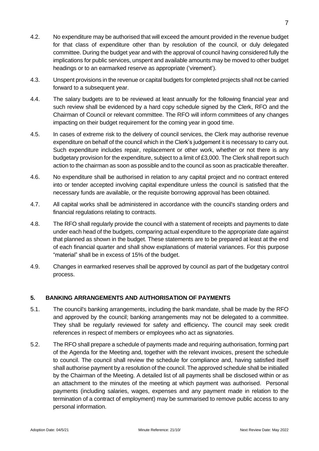- 4.2. No expenditure may be authorised that will exceed the amount provided in the revenue budget for that class of expenditure other than by resolution of the council, or duly delegated committee. During the budget year and with the approval of council having considered fully the implications for public services, unspent and available amounts may be moved to other budget headings or to an earmarked reserve as appropriate ('virement').
- 4.3. Unspent provisions in the revenue or capital budgets for completed projects shall not be carried forward to a subsequent year.
- 4.4. The salary budgets are to be reviewed at least annually for the following financial year and such review shall be evidenced by a hard copy schedule signed by the Clerk, RFO and the Chairman of Council or relevant committee. The RFO will inform committees of any changes impacting on their budget requirement for the coming year in good time.
- 4.5. In cases of extreme risk to the delivery of council services, the Clerk may authorise revenue expenditure on behalf of the council which in the Clerk's judgement it is necessary to carry out. Such expenditure includes repair, replacement or other work, whether or not there is any budgetary provision for the expenditure, subject to a limit of £3,000. The Clerk shall report such action to the chairman as soon as possible and to the council as soon as practicable thereafter.
- 4.6. No expenditure shall be authorised in relation to any capital project and no contract entered into or tender accepted involving capital expenditure unless the council is satisfied that the necessary funds are available, or the requisite borrowing approval has been obtained.
- 4.7. All capital works shall be administered in accordance with the council's standing orders and financial regulations relating to contracts.
- 4.8. The RFO shall regularly provide the council with a statement of receipts and payments to date under each head of the budgets, comparing actual expenditure to the appropriate date against that planned as shown in the budget. These statements are to be prepared at least at the end of each financial quarter and shall show explanations of material variances. For this purpose "material" shall be in excess of 15% of the budget.
- 4.9. Changes in earmarked reserves shall be approved by council as part of the budgetary control process.

## <span id="page-6-0"></span>**5. BANKING ARRANGEMENTS AND AUTHORISATION OF PAYMENTS**

- 5.1. The council's banking arrangements, including the bank mandate, shall be made by the RFO and approved by the council; banking arrangements may not be delegated to a committee. They shall be regularly reviewed for safety and efficiency**.** The council may seek credit references in respect of members or employees who act as signatories.
- 5.2. The RFO shall prepare a schedule of payments made and requiring authorisation, forming part of the Agenda for the Meeting and, together with the relevant invoices, present the schedule to council. The council shall review the schedule for compliance and, having satisfied itself shall authorise payment by a resolution of the council. The approved schedule shall be initialled by the Chairman of the Meeting. A detailed list of all payments shall be disclosed within or as an attachment to the minutes of the meeting at which payment was authorised. Personal payments (including salaries, wages, expenses and any payment made in relation to the termination of a contract of employment) may be summarised to remove public access to any personal information.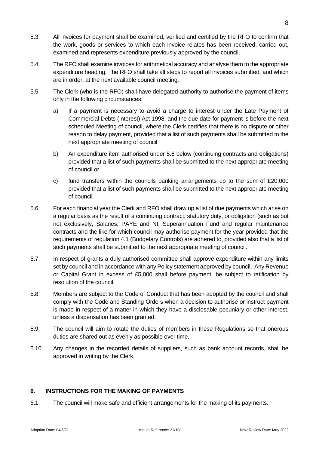8

5.4. The RFO shall examine invoices for arithmetical accuracy and analyse them to the appropriate expenditure heading. The RFO shall take all steps to report all invoices submitted, and which are in order, at the next available council meeting.

examined and represents expenditure previously approved by the council.

the work, goods or services to which each invoice relates has been received, carried out,

- 5.5. The Clerk (who is the RFO) shall have delegated authority to authorise the payment of items only in the following circumstances:
	- a) If a payment is necessary to avoid a charge to interest under the Late Payment of Commercial Debts (Interest) Act 1998, and the due date for payment is before the next scheduled Meeting of council, where the Clerk certifies that there is no dispute or other reason to delay payment, provided that a list of such payments shall be submitted to the next appropriate meeting of council
	- b) An expenditure item authorised under 5.6 below (continuing contracts and obligations) provided that a list of such payments shall be submitted to the next appropriate meeting of council or
	- c) fund transfers within the councils banking arrangements up to the sum of  $£20,000$ provided that a list of such payments shall be submitted to the next appropriate meeting of council.
- 5.6. For each financial year the Clerk and RFO shall draw up a list of due payments which arise on a regular basis as the result of a continuing contract, statutory duty, or obligation (such as but not exclusively, Salaries, PAYE and NI, Superannuation Fund and regular maintenance contracts and the like for which council may authorise payment for the year provided that the requirements of regulation 4.1 (Budgetary Controls) are adhered to, provided also that a list of such payments shall be submitted to the next appropriate meeting of council.
- 5.7. In respect of grants a duly authorised committee shall approve expenditure within any limits set by council and in accordance with any Policy statement approved by council. Any Revenue or Capital Grant in excess of £5,000 shall before payment, be subject to ratification by resolution of the council.
- 5.8. Members are subject to the Code of Conduct that has been adopted by the council and shall comply with the Code and Standing Orders when a decision to authorise or instruct payment is made in respect of a matter in which they have a disclosable pecuniary or other interest, unless a dispensation has been granted.
- 5.9. The council will aim to rotate the duties of members in these Regulations so that onerous duties are shared out as evenly as possible over time.
- 5.10. Any changes in the recorded details of suppliers, such as bank account records, shall be approved in writing by the Clerk.

### <span id="page-7-0"></span>**6. INSTRUCTIONS FOR THE MAKING OF PAYMENTS**

6.1. The council will make safe and efficient arrangements for the making of its payments.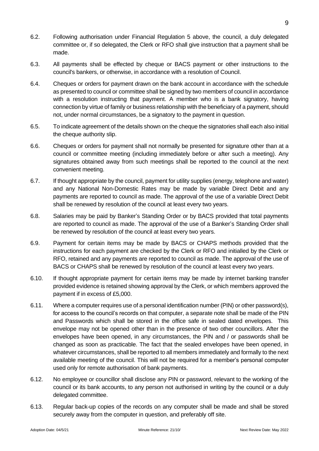9

- 6.2. Following authorisation under Financial Regulation 5 above, the council, a duly delegated committee or, if so delegated, the Clerk or RFO shall give instruction that a payment shall be made.
- 6.3. All payments shall be effected by cheque or BACS payment or other instructions to the council's bankers, or otherwise, in accordance with a resolution of Council.
- 6.4. Cheques or orders for payment drawn on the bank account in accordance with the schedule as presented to council or committee shall be signed by two members of council in accordance with a resolution instructing that payment. A member who is a bank signatory, having connection by virtue of family or business relationship with the beneficiary of a payment, should not, under normal circumstances, be a signatory to the payment in question.
- 6.5. To indicate agreement of the details shown on the cheque the signatories shall each also initial the cheque authority slip.
- 6.6. Cheques or orders for payment shall not normally be presented for signature other than at a council or committee meeting (including immediately before or after such a meeting). Any signatures obtained away from such meetings shall be reported to the council at the next convenient meeting.
- 6.7. If thought appropriate by the council, payment for utility supplies (energy, telephone and water) and any National Non-Domestic Rates may be made by variable Direct Debit and any payments are reported to council as made. The approval of the use of a variable Direct Debit shall be renewed by resolution of the council at least every two years.
- 6.8. Salaries may be paid by Banker's Standing Order or by BACS provided that total payments are reported to council as made. The approval of the use of a Banker's Standing Order shall be renewed by resolution of the council at least every two years.
- 6.9. Payment for certain items may be made by BACS or CHAPS methods provided that the instructions for each payment are checked by the Clerk or RFO and initialled by the Clerk or RFO, retained and any payments are reported to council as made. The approval of the use of BACS or CHAPS shall be renewed by resolution of the council at least every two years.
- 6.10. If thought appropriate payment for certain items may be made by internet banking transfer provided evidence is retained showing approval by the Clerk, or which members approved the payment if in excess of £5,000.
- 6.11. Where a computer requires use of a personal identification number (PIN) or other password(s), for access to the council's records on that computer, a separate note shall be made of the PIN and Passwords which shall be stored in the office safe in sealed dated envelopes. This envelope may not be opened other than in the presence of two other councillors. After the envelopes have been opened, in any circumstances, the PIN and / or passwords shall be changed as soon as practicable. The fact that the sealed envelopes have been opened, in whatever circumstances, shall be reported to all members immediately and formally to the next available meeting of the council. This will not be required for a member's personal computer used only for remote authorisation of bank payments.
- 6.12. No employee or councillor shall disclose any PIN or password, relevant to the working of the council or its bank accounts, to any person not authorised in writing by the council or a duly delegated committee.
- 6.13. Regular back-up copies of the records on any computer shall be made and shall be stored securely away from the computer in question, and preferably off site.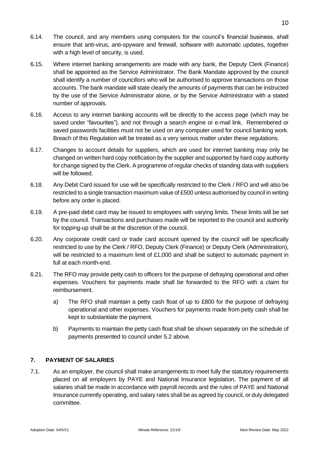- 6.14. The council, and any members using computers for the council's financial business, shall ensure that anti-virus, anti-spyware and firewall, software with automatic updates, together with a high level of security, is used.
- 6.15. Where internet banking arrangements are made with any bank, the Deputy Clerk (Finance) shall be appointed as the Service Administrator. The Bank Mandate approved by the council shall identify a number of councillors who will be authorised to approve transactions on those accounts. The bank mandate will state clearly the amounts of payments that can be instructed by the use of the Service Administrator alone, or by the Service Administrator with a stated number of approvals.
- 6.16. Access to any internet banking accounts will be directly to the access page (which may be saved under "favourites"), and not through a search engine or e-mail link. Remembered or saved passwords facilities must not be used on any computer used for council banking work. Breach of this Regulation will be treated as a very serious matter under these regulations.
- 6.17. Changes to account details for suppliers, which are used for internet banking may only be changed on written hard copy notification by the supplier and supported by hard copy authority for change signed by the Clerk. A programme of regular checks of standing data with suppliers will be followed.
- 6.18. Any Debit Card issued for use will be specifically restricted to the Clerk / RFO and will also be restricted to a single transaction maximum value of £500 unless authorised by council in writing before any order is placed.
- 6.19. A pre-paid debit card may be issued to employees with varying limits. These limits will be set by the council. Transactions and purchases made will be reported to the council and authority for topping-up shall be at the discretion of the council.
- 6.20. Any corporate credit card or trade card account opened by the council will be specifically restricted to use by the Clerk / RFO, Deputy Clerk (Finance) or Deputy Clerk (Administration), will be restricted to a maximum limit of £1,000 and shall be subject to automatic payment in full at each month-end.
- 6.21. The RFO may provide petty cash to officers for the purpose of defraying operational and other expenses. Vouchers for payments made shall be forwarded to the RFO with a claim for reimbursement.
	- a) The RFO shall maintain a petty cash float of up to £800 for the purpose of defraying operational and other expenses. Vouchers for payments made from petty cash shall be kept to substantiate the payment.
	- b) Payments to maintain the petty cash float shall be shown separately on the schedule of payments presented to council under 5.2 above.

# <span id="page-9-0"></span>**7. PAYMENT OF SALARIES**

7.1. As an employer, the council shall make arrangements to meet fully the statutory requirements placed on all employers by PAYE and National Insurance legislation. The payment of all salaries shall be made in accordance with payroll records and the rules of PAYE and National Insurance currently operating, and salary rates shall be as agreed by council, or duly delegated committee.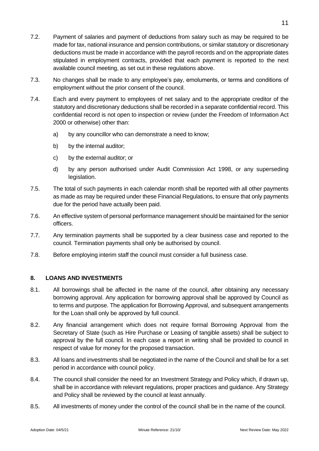- 7.2. Payment of salaries and payment of deductions from salary such as may be required to be made for tax, national insurance and pension contributions, or similar statutory or discretionary deductions must be made in accordance with the payroll records and on the appropriate dates stipulated in employment contracts, provided that each payment is reported to the next available council meeting, as set out in these regulations above.
- 7.3. No changes shall be made to any employee's pay, emoluments, or terms and conditions of employment without the prior consent of the council.
- 7.4. Each and every payment to employees of net salary and to the appropriate creditor of the statutory and discretionary deductions shall be recorded in a separate confidential record. This confidential record is not open to inspection or review (under the Freedom of Information Act 2000 or otherwise) other than:
	- a) by any councillor who can demonstrate a need to know;
	- b) by the internal auditor;
	- c) by the external auditor; or
	- d) by any person authorised under Audit Commission Act 1998, or any superseding legislation.
- 7.5. The total of such payments in each calendar month shall be reported with all other payments as made as may be required under these Financial Regulations, to ensure that only payments due for the period have actually been paid.
- 7.6. An effective system of personal performance management should be maintained for the senior officers.
- 7.7. Any termination payments shall be supported by a clear business case and reported to the council. Termination payments shall only be authorised by council.
- 7.8. Before employing interim staff the council must consider a full business case.

#### <span id="page-10-0"></span>**8. LOANS AND INVESTMENTS**

- 8.1. All borrowings shall be affected in the name of the council, after obtaining any necessary borrowing approval. Any application for borrowing approval shall be approved by Council as to terms and purpose. The application for Borrowing Approval, and subsequent arrangements for the Loan shall only be approved by full council.
- 8.2. Any financial arrangement which does not require formal Borrowing Approval from the Secretary of State (such as Hire Purchase or Leasing of tangible assets) shall be subject to approval by the full council. In each case a report in writing shall be provided to council in respect of value for money for the proposed transaction.
- 8.3. All loans and investments shall be negotiated in the name of the Council and shall be for a set period in accordance with council policy.
- 8.4. The council shall consider the need for an Investment Strategy and Policy which, if drawn up, shall be in accordance with relevant regulations, proper practices and guidance. Any Strategy and Policy shall be reviewed by the council at least annually.
- 8.5. All investments of money under the control of the council shall be in the name of the council.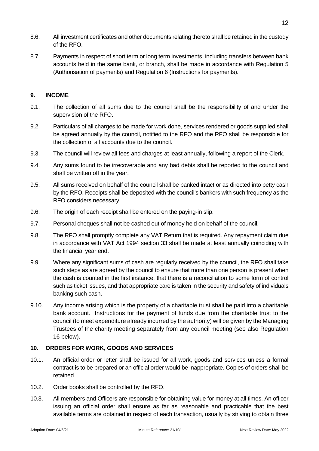- 8.6. All investment certificates and other documents relating thereto shall be retained in the custody of the RFO.
- 8.7. Payments in respect of short term or long term investments, including transfers between bank accounts held in the same bank, or branch, shall be made in accordance with Regulation 5 (Authorisation of payments) and Regulation 6 (Instructions for payments).

#### <span id="page-11-0"></span>**9. INCOME**

- 9.1. The collection of all sums due to the council shall be the responsibility of and under the supervision of the RFO.
- 9.2. Particulars of all charges to be made for work done, services rendered or goods supplied shall be agreed annually by the council, notified to the RFO and the RFO shall be responsible for the collection of all accounts due to the council.
- 9.3. The council will review all fees and charges at least annually, following a report of the Clerk.
- 9.4. Any sums found to be irrecoverable and any bad debts shall be reported to the council and shall be written off in the year.
- 9.5. All sums received on behalf of the council shall be banked intact or as directed into petty cash by the RFO. Receipts shall be deposited with the council's bankers with such frequency as the RFO considers necessary.
- 9.6. The origin of each receipt shall be entered on the paying-in slip.
- 9.7. Personal cheques shall not be cashed out of money held on behalf of the council.
- 9.8. The RFO shall promptly complete any VAT Return that is required. Any repayment claim due in accordance with VAT Act 1994 section 33 shall be made at least annually coinciding with the financial year end.
- 9.9. Where any significant sums of cash are regularly received by the council, the RFO shall take such steps as are agreed by the council to ensure that more than one person is present when the cash is counted in the first instance, that there is a reconciliation to some form of control such as ticket issues, and that appropriate care is taken in the security and safety of individuals banking such cash.
- 9.10. Any income arising which is the property of a charitable trust shall be paid into a charitable bank account. Instructions for the payment of funds due from the charitable trust to the council (to meet expenditure already incurred by the authority) will be given by the Managing Trustees of the charity meeting separately from any council meeting (see also Regulation 16 below).

#### <span id="page-11-1"></span>**10. ORDERS FOR WORK, GOODS AND SERVICES**

- 10.1. An official order or letter shall be issued for all work, goods and services unless a formal contract is to be prepared or an official order would be inappropriate. Copies of orders shall be retained.
- 10.2. Order books shall be controlled by the RFO.
- 10.3. All members and Officers are responsible for obtaining value for money at all times. An officer issuing an official order shall ensure as far as reasonable and practicable that the best available terms are obtained in respect of each transaction, usually by striving to obtain three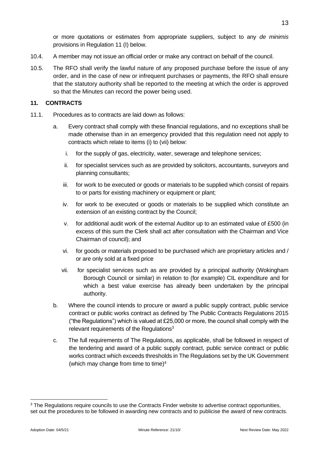or more quotations or estimates from appropriate suppliers, subject to any *de minimis* provisions in Regulation 11 (I) below.

- 10.4. A member may not issue an official order or make any contract on behalf of the council.
- 10.5. The RFO shall verify the lawful nature of any proposed purchase before the issue of any order, and in the case of new or infrequent purchases or payments, the RFO shall ensure that the statutory authority shall be reported to the meeting at which the order is approved so that the Minutes can record the power being used.

#### <span id="page-12-0"></span>**11. CONTRACTS**

- 11.1. Procedures as to contracts are laid down as follows:
	- a. Every contract shall comply with these financial regulations, and no exceptions shall be made otherwise than in an emergency provided that this regulation need not apply to contracts which relate to items (i) to (vii) below:
		- i. for the supply of gas, electricity, water, sewerage and telephone services;
		- ii. for specialist services such as are provided by solicitors, accountants, surveyors and planning consultants;
		- iii. for work to be executed or goods or materials to be supplied which consist of repairs to or parts for existing machinery or equipment or plant;
		- iv. for work to be executed or goods or materials to be supplied which constitute an extension of an existing contract by the Council;
		- v. for additional audit work of the external Auditor up to an estimated value of £500 (in excess of this sum the Clerk shall act after consultation with the Chairman and Vice Chairman of council); and
		- vi. for goods or materials proposed to be purchased which are proprietary articles and / or are only sold at a fixed price
		- vii. for specialist services such as are provided by a principal authority (Wokingham Borough Council or similar) in relation to (for example) CIL expenditure and for which a best value exercise has already been undertaken by the principal authority.
	- b. Where the council intends to procure or award a public supply contract, public service contract or public works contract as defined by The Public Contracts Regulations 2015 ("the Regulations") which is valued at  $£25,000$  or more, the council shall comply with the relevant requirements of the Regulations<sup>3</sup>
	- c. The full requirements of The Regulations, as applicable, shall be followed in respect of the tendering and award of a public supply contract, public service contract or public works contract which exceeds thresholds in The Regulations set by the UK Government (which may change from time to time) $4$

13

<sup>&</sup>lt;sup>3</sup> The Regulations require councils to use the Contracts Finder website to advertise contract opportunities, set out the procedures to be followed in awarding new contracts and to publicise the award of new contracts.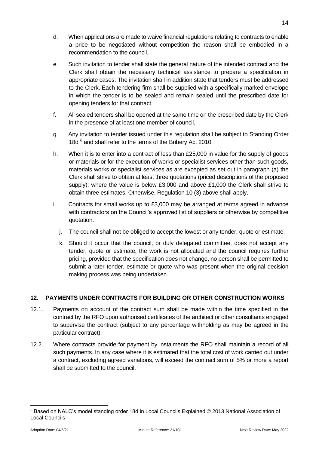- d. When applications are made to waive financial regulations relating to contracts to enable a price to be negotiated without competition the reason shall be embodied in a recommendation to the council.
- e. Such invitation to tender shall state the general nature of the intended contract and the Clerk shall obtain the necessary technical assistance to prepare a specification in appropriate cases. The invitation shall in addition state that tenders must be addressed to the Clerk. Each tendering firm shall be supplied with a specifically marked envelope in which the tender is to be sealed and remain sealed until the prescribed date for opening tenders for that contract.
- f. All sealed tenders shall be opened at the same time on the prescribed date by the Clerk in the presence of at least one member of council.
- g. Any invitation to tender issued under this regulation shall be subject to Standing Order 18d <sup>5</sup> and shall refer to the terms of the Bribery Act 2010.
- h. When it is to enter into a contract of less than  $£25,000$  in value for the supply of goods or materials or for the execution of works or specialist services other than such goods, materials works or specialist services as are excepted as set out in paragraph (a) the Clerk shall strive to obtain at least three quotations (priced descriptions of the proposed supply); where the value is below £3,000 and above £1,000 the Clerk shall strive to obtain three estimates. Otherwise, Regulation 10 (3) above shall apply.
- i. Contracts for small works up to £3,000 may be arranged at terms agreed in advance with contractors on the Council's approved list of suppliers or otherwise by competitive quotation.
	- j. The council shall not be obliged to accept the lowest or any tender, quote or estimate.
	- k. Should it occur that the council, or duly delegated committee, does not accept any tender, quote or estimate, the work is not allocated and the council requires further pricing, provided that the specification does not change, no person shall be permitted to submit a later tender, estimate or quote who was present when the original decision making process was being undertaken.

## <span id="page-13-0"></span>**12. PAYMENTS UNDER CONTRACTS FOR BUILDING OR OTHER CONSTRUCTION WORKS**

- 12.1. Payments on account of the contract sum shall be made within the time specified in the contract by the RFO upon authorised certificates of the architect or other consultants engaged to supervise the contract (subject to any percentage withholding as may be agreed in the particular contract).
- 12.2. Where contracts provide for payment by instalments the RFO shall maintain a record of all such payments. In any case where it is estimated that the total cost of work carried out under a contract, excluding agreed variations, will exceed the contract sum of 5% or more a report shall be submitted to the council.

<sup>5</sup> Based on NALC's model standing order 18d in Local Councils Explained © 2013 National Association of Local Councils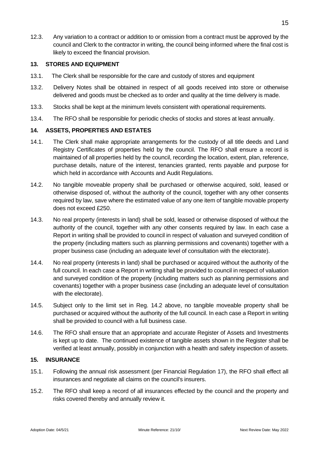12.3. Any variation to a contract or addition to or omission from a contract must be approved by the council and Clerk to the contractor in writing, the council being informed where the final cost is likely to exceed the financial provision.

#### <span id="page-14-0"></span>**13. STORES AND EQUIPMENT**

- 13.1. The Clerk shall be responsible for the care and custody of stores and equipment
- 13.2. Delivery Notes shall be obtained in respect of all goods received into store or otherwise delivered and goods must be checked as to order and quality at the time delivery is made.
- 13.3. Stocks shall be kept at the minimum levels consistent with operational requirements.
- 13.4. The RFO shall be responsible for periodic checks of stocks and stores at least annually.

#### <span id="page-14-1"></span>**14. ASSETS, PROPERTIES AND ESTATES**

- 14.1. The Clerk shall make appropriate arrangements for the custody of all title deeds and Land Registry Certificates of properties held by the council. The RFO shall ensure a record is maintained of all properties held by the council, recording the location, extent, plan, reference, purchase details, nature of the interest, tenancies granted, rents payable and purpose for which held in accordance with Accounts and Audit Regulations.
- 14.2. No tangible moveable property shall be purchased or otherwise acquired, sold, leased or otherwise disposed of, without the authority of the council, together with any other consents required by law, save where the estimated value of any one item of tangible movable property does not exceed £250.
- 14.3. No real property (interests in land) shall be sold, leased or otherwise disposed of without the authority of the council, together with any other consents required by law. In each case a Report in writing shall be provided to council in respect of valuation and surveyed condition of the property (including matters such as planning permissions and covenants) together with a proper business case (including an adequate level of consultation with the electorate).
- 14.4. No real property (interests in land) shall be purchased or acquired without the authority of the full council. In each case a Report in writing shall be provided to council in respect of valuation and surveyed condition of the property (including matters such as planning permissions and covenants) together with a proper business case (including an adequate level of consultation with the electorate).
- 14.5. Subject only to the limit set in Reg. 14.2 above, no tangible moveable property shall be purchased or acquired without the authority of the full council. In each case a Report in writing shall be provided to council with a full business case.
- 14.6. The RFO shall ensure that an appropriate and accurate Register of Assets and Investments is kept up to date. The continued existence of tangible assets shown in the Register shall be verified at least annually, possibly in conjunction with a health and safety inspection of assets.

#### <span id="page-14-2"></span>**15. INSURANCE**

- 15.1. Following the annual risk assessment (per Financial Regulation 17), the RFO shall effect all insurances and negotiate all claims on the council's insurers.
- 15.2. The RFO shall keep a record of all insurances effected by the council and the property and risks covered thereby and annually review it.